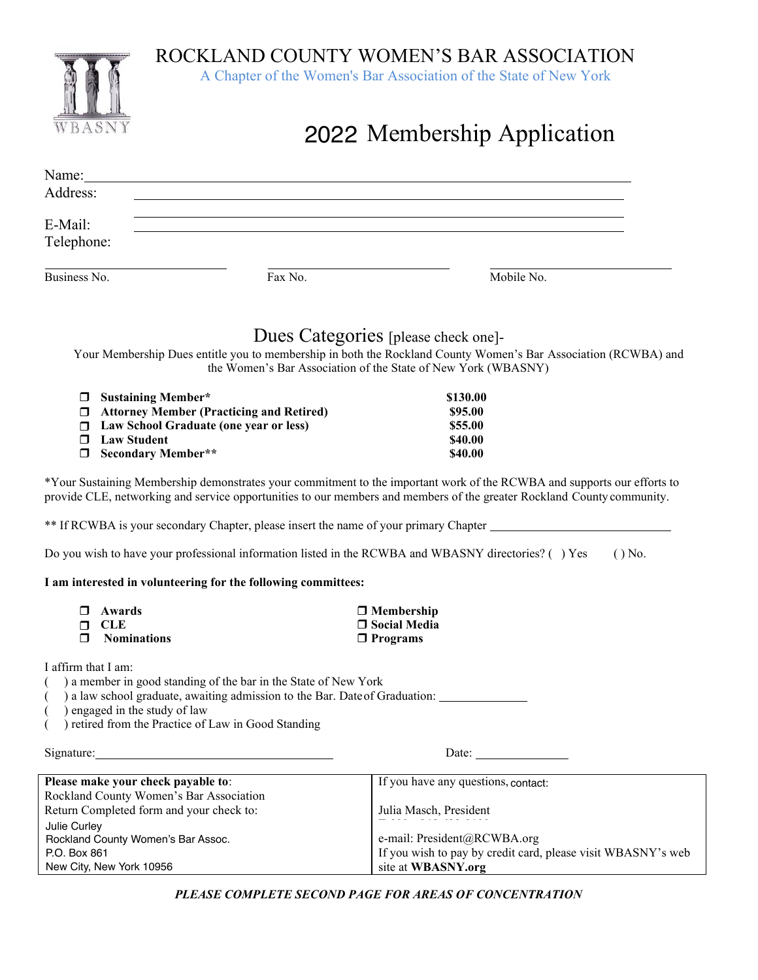ROCKLAND COUNTY WOMEN'S BAR ASSOCIATION

A Chapter of the Women's Bar Association of the State of New York



# 2022 Membership Application

| Name:                 |         |            |  |
|-----------------------|---------|------------|--|
| Address:              |         |            |  |
| E-Mail:<br>Telephone: |         |            |  |
| Business No.          | Fax No. | Mobile No. |  |

## Dues Categories [please check one]-

Your Membership Dues entitle you to membership in both the Rockland County Women's Bar Association (RCWBA) and the Women's Bar Association of the State of New York (WBASNY)

| $\Box$ Sustaining Member*                       | \$130.00 |
|-------------------------------------------------|----------|
| $\Box$ Attorney Member (Practicing and Retired) | \$95.00  |
| $\Box$ Law School Graduate (one year or less)   | \$55.00  |
| $\Box$ Law Student                              | \$40.00  |
| $\Box$ Secondary Member**                       | \$40.00  |

\*Your Sustaining Membership demonstrates your commitment to the important work of the RCWBA and supports our efforts to provide CLE, networking and service opportunities to our members and members of the greater Rockland County community.

\*\* If RCWBA is your secondary Chapter, please insert the name of your primary Chapter

Do you wish to have your professional information listed in the RCWBA and WBASNY directories? ( ) Yes ( ) No.

#### **I am interested in volunteering for the following committees:**

| $\Box$ Awards      | $\Box$ Membership   |
|--------------------|---------------------|
| $\sqcap$ CLE       | $\Box$ Social Media |
| $\Box$ Nominations | $\Box$ Programs     |

I affirm that I am:

( ) a member in good standing of the bar in the State of New York

( ) a law school graduate, awaiting admission to the Bar. Dateof Graduation:

( ) engaged in the study of law

) retired from the Practice of Law in Good Standing

Signature: Date: Date: Date: Date: Date: Date: Date: Date: Date: Date: Date: Date: Date: Date: Date: Date: Date: Date: Date: Date: Date: Date: Date: Date: Date: Date: Date: Date: Date: Date: Date: Date: Date: Date: Date: D

| Please make your check payable to:       | If you have any questions, contact:                          |
|------------------------------------------|--------------------------------------------------------------|
| Rockland County Women's Bar Association  |                                                              |
| Return Completed form and your check to: | Julia Masch, President                                       |
| Julie Curley                             |                                                              |
| Rockland County Women's Bar Assoc.       | e-mail: President@RCWBA.org                                  |
| P.O. Box 861                             | If you wish to pay by credit card, please visit WBASNY's web |
| New City, New York 10956                 | site at WBASNY.org                                           |